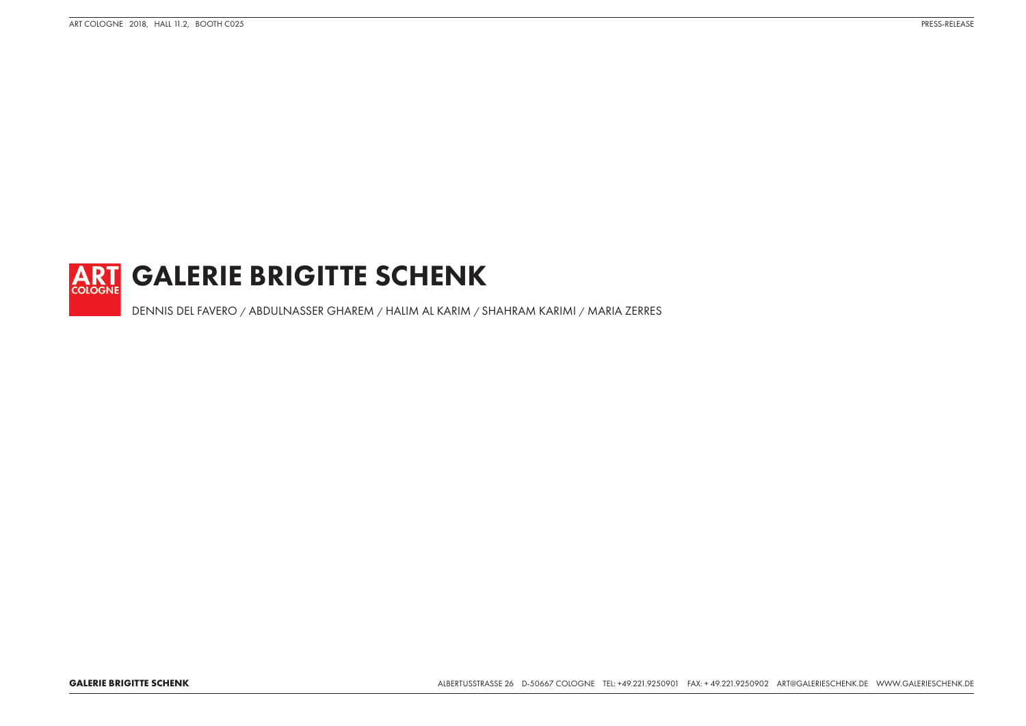

DENNIS DEL FAVERO / ABDULNASSER GHAREM / HALIM AL KARIM / SHAHRAM KARIMI / MARIA ZERRES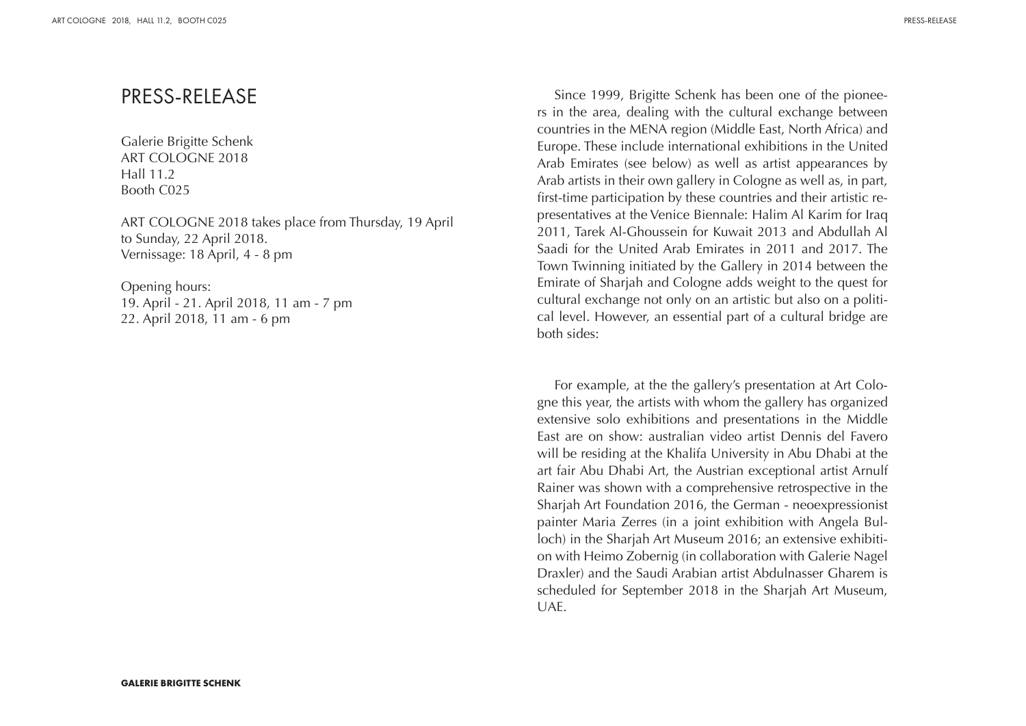### PRESS-RELEASE

Galerie Brigitte Schenk ART COLOGNE 2018 Hall 11.2 Booth C025

ART COLOGNE 2018 takes place from Thursday, 19 April to Sunday, 22 April 2018. Vernissage: 18 April, 4 - 8 pm

Opening hours: 19. April - 21. April 2018, 11 am - 7 pm 22. April 2018, 11 am - 6 pm

Since 1999, Brigitte Schenk has been one of the pioneers in the area, dealing with the cultural exchange between countries in the MENA region (Middle East, North Africa) and Europe. These include international exhibitions in the United Arab Emirates (see below) as well as artist appearances by Arab artists in their own gallery in Cologne as well as, in part, first-time participation by these countries and their artistic representatives at the Venice Biennale: Halim Al Karim for Iraq 2011, Tarek Al-Ghoussein for Kuwait 2013 and Abdullah Al Saadi for the United Arab Emirates in 2011 and 2017. The Town Twinning initiated by the Gallery in 2014 between the Emirate of Sharjah and Cologne adds weight to the quest for cultural exchange not only on an artistic but also on a political level. However, an essential part of a cultural bridge are both sides:

For example, at the the gallery's presentation at Art Cologne this year, the artists with whom the gallery has organized extensive solo exhibitions and presentations in the Middle East are on show: australian video artist Dennis del Favero will be residing at the Khalifa University in Abu Dhabi at the art fair Abu Dhabi Art, the Austrian exceptional artist Arnulf Rainer was shown with a comprehensive retrospective in the Sharjah Art Foundation 2016, the German - neoexpressionist painter Maria Zerres (in a joint exhibition with Angela Bulloch) in the Sharjah Art Museum 2016; an extensive exhibition with Heimo Zobernig (in collaboration with Galerie Nagel Draxler) and the Saudi Arabian artist Abdulnasser Gharem is scheduled for September 2018 in the Sharjah Art Museum, UAE.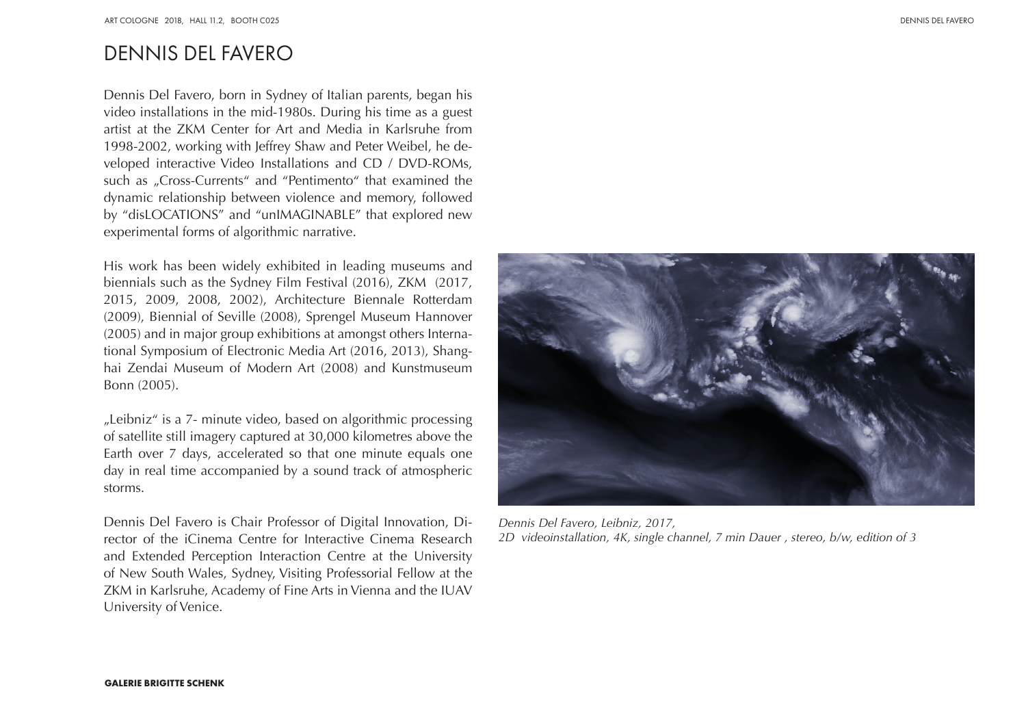# DENNIS DEL FAVERO

Dennis Del Favero, born in Sydney of Italian parents, began his video installations in the mid-1980s. During his time as a guest artist at the ZKM Center for Art and Media in Karlsruhe from 1998-2002, working with Jeffrey Shaw and Peter Weibel, he developed interactive Video Installations and CD / DVD-ROMs, such as "Cross-Currents" and "Pentimento" that examined the dynamic relationship between violence and memory, followed by "disLOCATIONS" and "unIMAGINABLE" that explored new experimental forms of algorithmic narrative.

His work has been widely exhibited in leading museums and biennials such as the Sydney Film Festival (2016), ZKM (2017, 2015, 2009, 2008, 2002), Architecture Biennale Rotterdam (2009), Biennial of Seville (2008), Sprengel Museum Hannover (2005) and in major group exhibitions at amongst others International Symposium of Electronic Media Art (2016, 2013), Shanghai Zendai Museum of Modern Art (2008) and Kunstmuseum Bonn (2005).

"Leibniz" is a 7- minute video, based on algorithmic processing of satellite still imagery captured at 30,000 kilometres above the Earth over 7 days, accelerated so that one minute equals one day in real time accompanied by a sound track of atmospheric storms.

Dennis Del Favero is Chair Professor of Digital Innovation, Director of the iCinema Centre for Interactive Cinema Research and Extended Perception Interaction Centre at the University of New South Wales, Sydney, Visiting Professorial Fellow at the ZKM in Karlsruhe, Academy of Fine Arts in Vienna and the IUAV University of Venice.



*Dennis Del Favero, Leibniz, 2017, 2D videoinstallation, 4K, single channel, 7 min Dauer , stereo, b/w, edition of 3*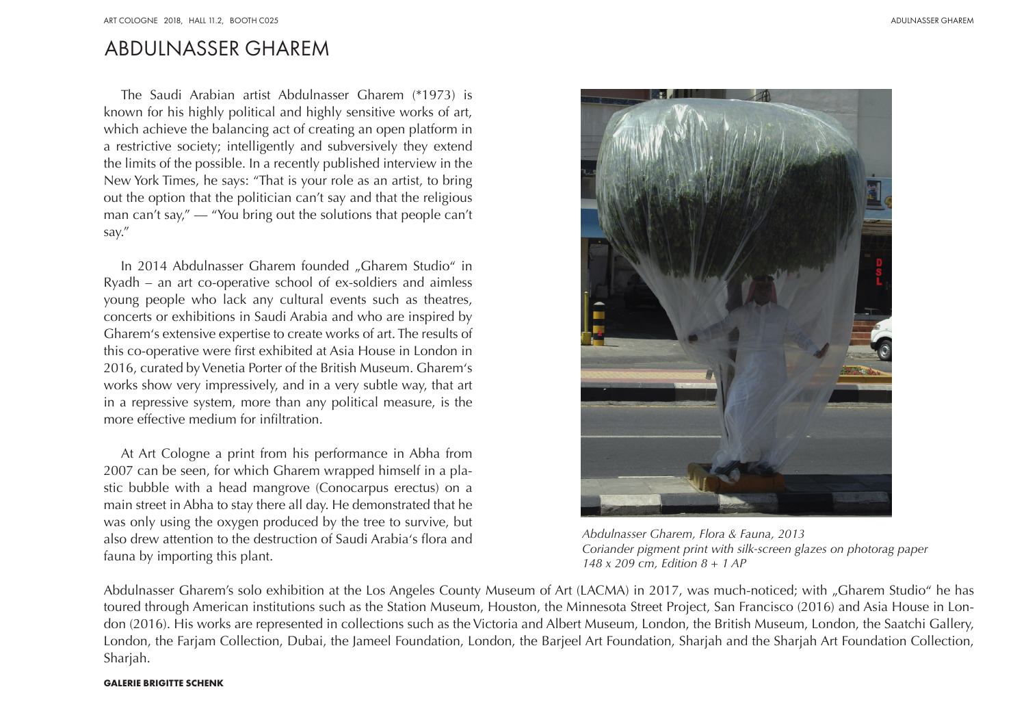## ABDULNASSER GHAREM

The Saudi Arabian artist Abdulnasser Gharem (\*1973) is known for his highly political and highly sensitive works of art, which achieve the balancing act of creating an open platform in a restrictive society; intelligently and subversively they extend the limits of the possible. In a recently published interview in the New York Times, he says: "That is your role as an artist, to bring out the option that the politician can't say and that the religious man can't say," — "You bring out the solutions that people can't say."

In 2014 Abdulnasser Gharem founded "Gharem Studio" in Ryadh – an art co-operative school of ex-soldiers and aimless young people who lack any cultural events such as theatres, concerts or exhibitions in Saudi Arabia and who are inspired by Gharem's extensive expertise to create works of art. The results of this co-operative were first exhibited at Asia House in London in 2016, curated by Venetia Porter of the British Museum. Gharem's works show very impressively, and in a very subtle way, that art in a repressive system, more than any political measure, is the more effective medium for infiltration.

At Art Cologne a print from his performance in Abha from 2007 can be seen, for which Gharem wrapped himself in a plastic bubble with a head mangrove (Conocarpus erectus) on a main street in Abha to stay there all day. He demonstrated that he was only using the oxygen produced by the tree to survive, but also drew attention to the destruction of Saudi Arabia's flora and fauna by importing this plant.



*Abdulnasser Gharem, Flora & Fauna, 2013 Coriander pigment print with silk-screen glazes on photorag paper 148 x 209 cm, Edition 8 + 1 AP* 

Abdulnasser Gharem's solo exhibition at the Los Angeles County Museum of Art (LACMA) in 2017, was much-noticed; with "Gharem Studio" he has toured through American institutions such as the Station Museum, Houston, the Minnesota Street Project, San Francisco (2016) and Asia House in London (2016). His works are represented in collections such as the Victoria and Albert Museum, London, the British Museum, London, the Saatchi Gallery, London, the Farjam Collection, Dubai, the Jameel Foundation, London, the Barjeel Art Foundation, Sharjah and the Sharjah Art Foundation Collection, Sharjah.

#### **GALERIE BRIGITTE SCHENK**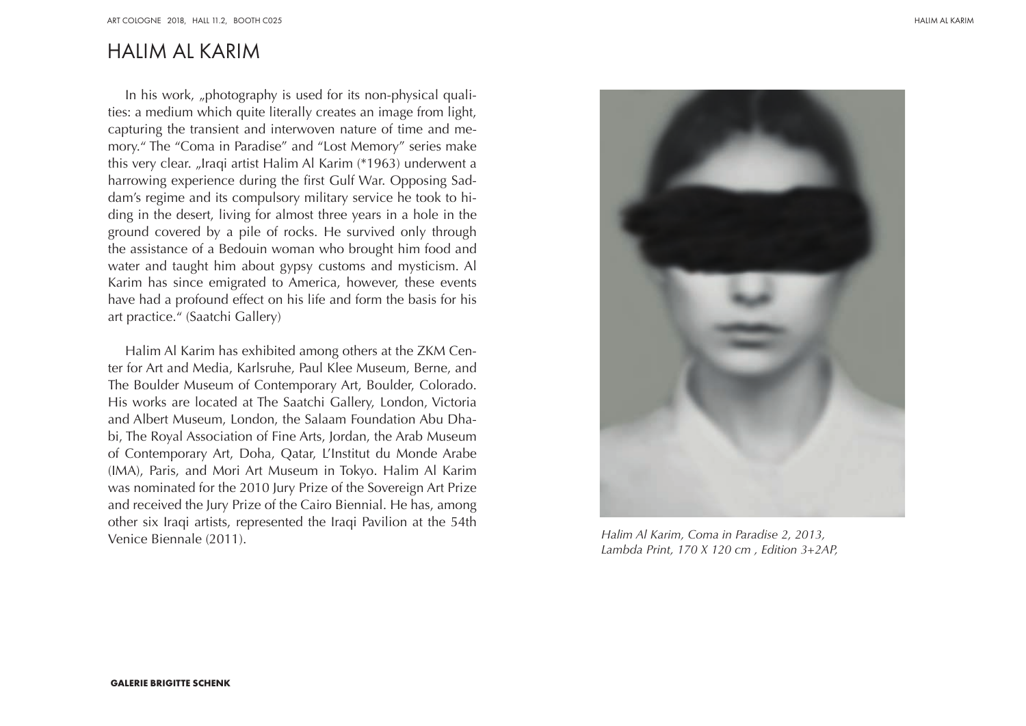# HALIM AL KARIM

In his work, "photography is used for its non-physical qualities: a medium which quite literally creates an image from light, capturing the transient and interwoven nature of time and memory." The "Coma in Paradise" and "Lost Memory" series make this very clear. "Iraqi artist Halim Al Karim (\*1963) underwent a harrowing experience during the first Gulf War. Opposing Saddam's regime and its compulsory military service he took to hiding in the desert, living for almost three years in a hole in the ground covered by a pile of rocks. He survived only through the assistance of a Bedouin woman who brought him food and water and taught him about gypsy customs and mysticism. Al Karim has since emigrated to America, however, these events have had a profound effect on his life and form the basis for his art practice." (Saatchi Gallery)

Halim Al Karim has exhibited among others at the ZKM Center for Art and Media, Karlsruhe, Paul Klee Museum, Berne, and The Boulder Museum of Contemporary Art, Boulder, Colorado. His works are located at The Saatchi Gallery, London, Victoria and Albert Museum, London, the Salaam Foundation Abu Dhabi, The Royal Association of Fine Arts, Jordan, the Arab Museum of Contemporary Art, Doha, Qatar, L'Institut du Monde Arabe (IMA), Paris, and Mori Art Museum in Tokyo. Halim Al Karim was nominated for the 2010 Jury Prize of the Sovereign Art Prize and received the Jury Prize of the Cairo Biennial. He has, among other six Iraqi artists, represented the Iraqi Pavilion at the 54th Venice Biennale (2011).



*Halim Al Karim, Coma in Paradise 2, 2013, Lambda Print, 170 X 120 cm , Edition 3+2AP,*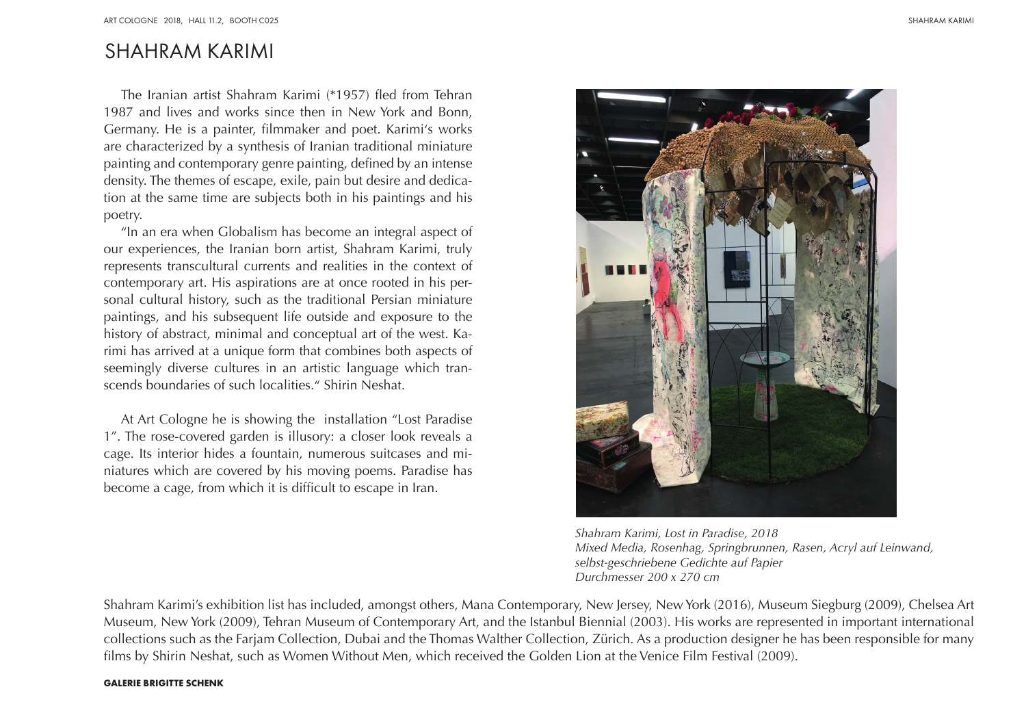## SHAHRAM KARIMI

The Iranian artist Shahram Karimi (\*1957) fled from Tehran 1987 and lives and works since then in New York and Bonn, Germany. He is a painter, filmmaker and poet. Karimi's works are characterized by a synthesis of Iranian traditional miniature painting and contemporary genre painting, defined by an intense density. The themes of escape, exile, pain but desire and dedication at the same time are subjects both in his paintings and his poetry.

"In an era when Globalism has become an integral aspect of our experiences, the Iranian born artist, Shahram Karimi, truly represents transcultural currents and realities in the context of contemporary art. His aspirations are at once rooted in his personal cultural history, such as the traditional Persian miniature paintings, and his subsequent life outside and exposure to the history of abstract, minimal and conceptual art of the west. Karimi has arrived at a unique form that combines both aspects of seemingly diverse cultures in an artistic language which transcends boundaries of such localities." Shirin Neshat.

At Art Cologne he is showing the installation "Lost Paradise 1". The rose-covered garden is illusory: a closer look reveals a cage. Its interior hides a fountain, numerous suitcases and miniatures which are covered by his moving poems. Paradise has become a cage, from which it is difficult to escape in Iran.



*Shahram Karimi, Lost in Paradise, 2018 Mixed Media, Rosenhag, Springbrunnen, Rasen, Acryl auf Leinwand, selbst-geschriebene Gedichte auf Papier Durchmesser 200 x 270 cm*

Shahram Karimi's exhibition list has included, amongst others, Mana Contemporary, New Jersey, New York (2016), Museum Siegburg (2009), Chelsea Art Museum, New York (2009), Tehran Museum of Contemporary Art, and the Istanbul Biennial (2003). His works are represented in important international collections such as the Farjam Collection, Dubai and the Thomas Walther Collection, Zürich. As a production designer he has been responsible for many films by Shirin Neshat, such as Women Without Men, which received the Golden Lion at the Venice Film Festival (2009).

#### **GALERIE BRIGITTE SCHENK**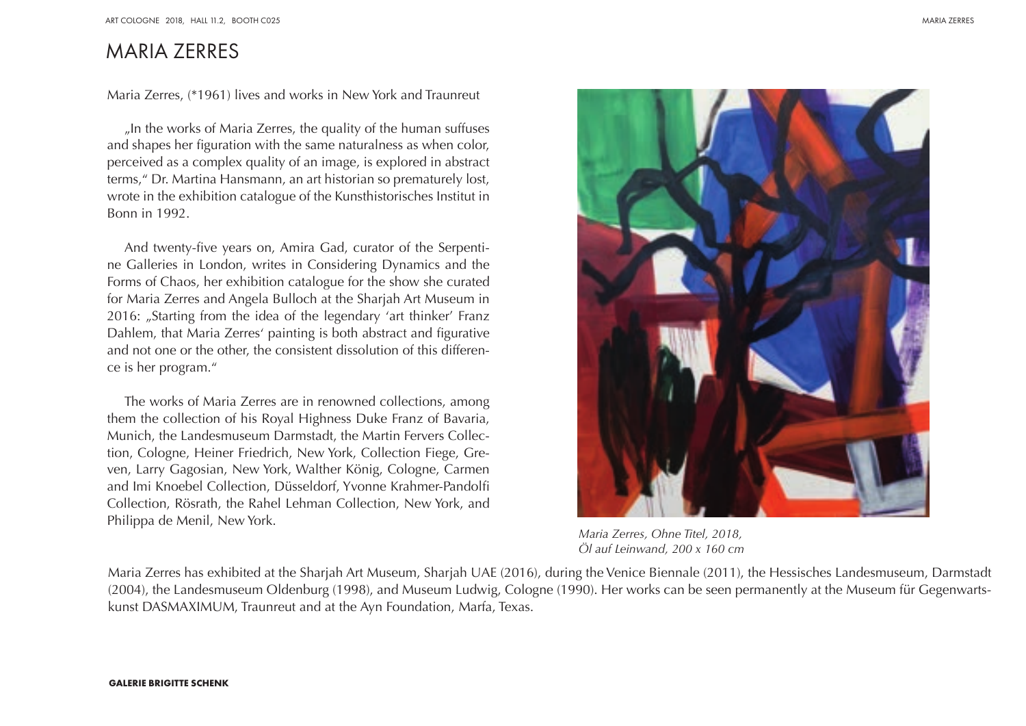## MARIA ZERRES

Maria Zerres, (\*1961) lives and works in New York and Traunreut

"In the works of Maria Zerres, the quality of the human suffuses and shapes her figuration with the same naturalness as when color, perceived as a complex quality of an image, is explored in abstract terms," Dr. Martina Hansmann, an art historian so prematurely lost, wrote in the exhibition catalogue of the Kunsthistorisches Institut in Bonn in 1992.

And twenty-five years on, Amira Gad, curator of the Serpentine Galleries in London, writes in Considering Dynamics and the Forms of Chaos, her exhibition catalogue for the show she curated for Maria Zerres and Angela Bulloch at the Sharjah Art Museum in 2016: "Starting from the idea of the legendary 'art thinker' Franz Dahlem, that Maria Zerres' painting is both abstract and figurative and not one or the other, the consistent dissolution of this difference is her program."

The works of Maria Zerres are in renowned collections, among them the collection of his Royal Highness Duke Franz of Bavaria, Munich, the Landesmuseum Darmstadt, the Martin Fervers Collection, Cologne, Heiner Friedrich, New York, Collection Fiege, Greven, Larry Gagosian, New York, Walther König, Cologne, Carmen and Imi Knoebel Collection, Düsseldorf, Yvonne Krahmer-Pandolfi Collection, Rösrath, the Rahel Lehman Collection, New York, and Philippa de Menil, New York.

*Maria Zerres, Ohne Titel, 2018, Öl auf Leinwand, 200 x 160 cm*

Maria Zerres has exhibited at the Sharjah Art Museum, Sharjah UAE (2016), during the Venice Biennale (2011), the Hessisches Landesmuseum, Darmstadt (2004), the Landesmuseum Oldenburg (1998), and Museum Ludwig, Cologne (1990). Her works can be seen permanently at the Museum für Gegenwartskunst DASMAXIMUM, Traunreut and at the Ayn Foundation, Marfa, Texas.